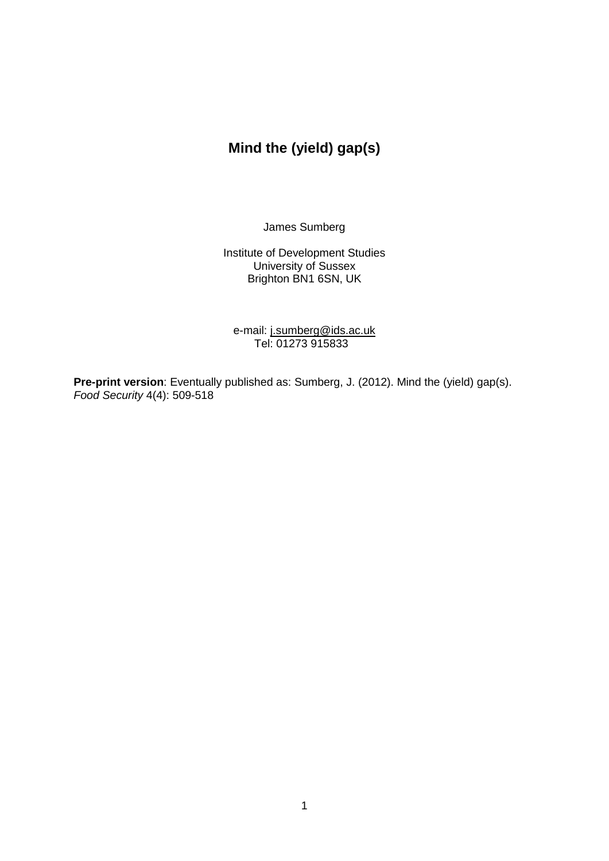# **Mind the (yield) gap(s)**

James Sumberg

Institute of Development Studies University of Sussex Brighton BN1 6SN, UK

e-mail: [j.sumberg@ids.ac.uk](mailto:j.sumberg@ids.ac.uk) Tel: 01273 915833

**Pre-print version**: Eventually published as: Sumberg, J. (2012). Mind the (yield) gap(s). *Food Security* 4(4): 509-518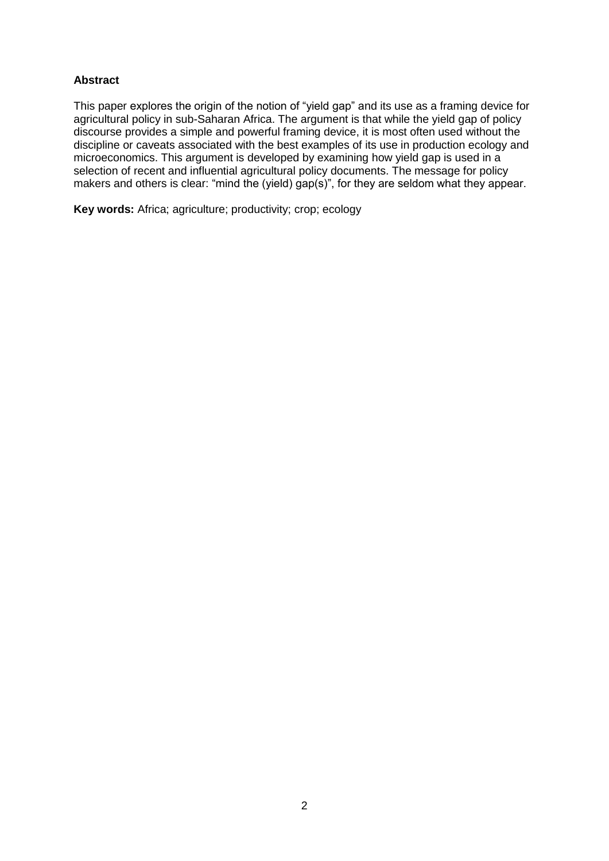### **Abstract**

This paper explores the origin of the notion of "yield gap" and its use as a framing device for agricultural policy in sub-Saharan Africa. The argument is that while the yield gap of policy discourse provides a simple and powerful framing device, it is most often used without the discipline or caveats associated with the best examples of its use in production ecology and microeconomics. This argument is developed by examining how yield gap is used in a selection of recent and influential agricultural policy documents. The message for policy makers and others is clear: "mind the (yield) gap(s)", for they are seldom what they appear.

**Key words:** Africa; agriculture; productivity; crop; ecology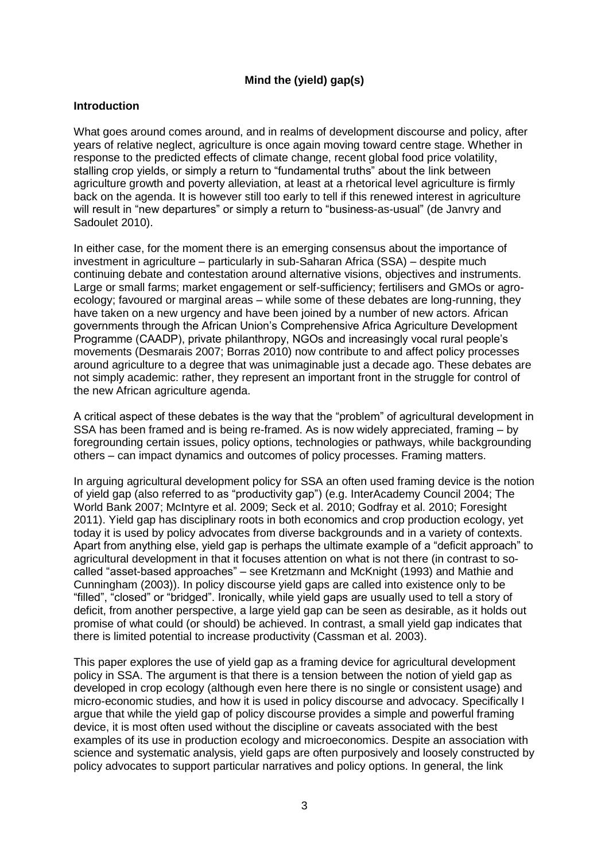# **Mind the (yield) gap(s)**

## **Introduction**

What goes around comes around, and in realms of development discourse and policy, after years of relative neglect, agriculture is once again moving toward centre stage. Whether in response to the predicted effects of climate change, recent global food price volatility, stalling crop yields, or simply a return to "fundamental truths" about the link between agriculture growth and poverty alleviation, at least at a rhetorical level agriculture is firmly back on the agenda. It is however still too early to tell if this renewed interest in agriculture will result in "new departures" or simply a return to "business-as-usual" (de Janvry and Sadoulet 2010).

In either case, for the moment there is an emerging consensus about the importance of investment in agriculture – particularly in sub-Saharan Africa (SSA) – despite much continuing debate and contestation around alternative visions, objectives and instruments. Large or small farms; market engagement or self-sufficiency; fertilisers and GMOs or agroecology; favoured or marginal areas – while some of these debates are long-running, they have taken on a new urgency and have been joined by a number of new actors. African governments through the African Union's Comprehensive Africa Agriculture Development Programme (CAADP), private philanthropy, NGOs and increasingly vocal rural people's movements (Desmarais 2007; Borras 2010) now contribute to and affect policy processes around agriculture to a degree that was unimaginable just a decade ago. These debates are not simply academic: rather, they represent an important front in the struggle for control of the new African agriculture agenda.

A critical aspect of these debates is the way that the "problem" of agricultural development in SSA has been framed and is being re-framed. As is now widely appreciated, framing – by foregrounding certain issues, policy options, technologies or pathways, while backgrounding others – can impact dynamics and outcomes of policy processes. Framing matters.

In arguing agricultural development policy for SSA an often used framing device is the notion of yield gap (also referred to as "productivity gap") (e.g. InterAcademy Council 2004; The World Bank 2007; McIntyre et al. 2009; Seck et al. 2010; Godfray et al. 2010; Foresight 2011). Yield gap has disciplinary roots in both economics and crop production ecology, yet today it is used by policy advocates from diverse backgrounds and in a variety of contexts. Apart from anything else, yield gap is perhaps the ultimate example of a "deficit approach" to agricultural development in that it focuses attention on what is not there (in contrast to socalled "asset-based approaches" – see Kretzmann and McKnight (1993) and Mathie and Cunningham (2003)). In policy discourse yield gaps are called into existence only to be "filled", "closed" or "bridged". Ironically, while yield gaps are usually used to tell a story of deficit, from another perspective, a large yield gap can be seen as desirable, as it holds out promise of what could (or should) be achieved. In contrast, a small yield gap indicates that there is limited potential to increase productivity (Cassman et al. 2003).

This paper explores the use of yield gap as a framing device for agricultural development policy in SSA. The argument is that there is a tension between the notion of yield gap as developed in crop ecology (although even here there is no single or consistent usage) and micro-economic studies, and how it is used in policy discourse and advocacy. Specifically I argue that while the yield gap of policy discourse provides a simple and powerful framing device, it is most often used without the discipline or caveats associated with the best examples of its use in production ecology and microeconomics. Despite an association with science and systematic analysis, yield gaps are often purposively and loosely constructed by policy advocates to support particular narratives and policy options. In general, the link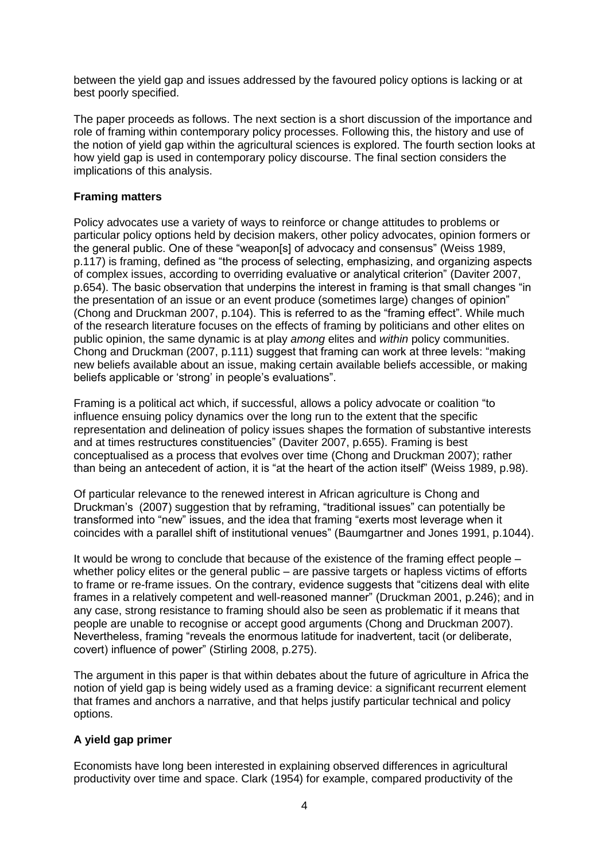between the yield gap and issues addressed by the favoured policy options is lacking or at best poorly specified.

The paper proceeds as follows. The next section is a short discussion of the importance and role of framing within contemporary policy processes. Following this, the history and use of the notion of yield gap within the agricultural sciences is explored. The fourth section looks at how yield gap is used in contemporary policy discourse. The final section considers the implications of this analysis.

## **Framing matters**

Policy advocates use a variety of ways to reinforce or change attitudes to problems or particular policy options held by decision makers, other policy advocates, opinion formers or the general public. One of these "weapon[s] of advocacy and consensus" (Weiss 1989, p.117) is framing, defined as "the process of selecting, emphasizing, and organizing aspects of complex issues, according to overriding evaluative or analytical criterion" (Daviter 2007, p.654). The basic observation that underpins the interest in framing is that small changes "in the presentation of an issue or an event produce (sometimes large) changes of opinion" (Chong and Druckman 2007, p.104). This is referred to as the "framing effect". While much of the research literature focuses on the effects of framing by politicians and other elites on public opinion, the same dynamic is at play *among* elites and *within* policy communities. Chong and Druckman (2007, p.111) suggest that framing can work at three levels: "making new beliefs available about an issue, making certain available beliefs accessible, or making beliefs applicable or 'strong' in people's evaluations".

Framing is a political act which, if successful, allows a policy advocate or coalition "to influence ensuing policy dynamics over the long run to the extent that the specific representation and delineation of policy issues shapes the formation of substantive interests and at times restructures constituencies" (Daviter 2007, p.655). Framing is best conceptualised as a process that evolves over time (Chong and Druckman 2007); rather than being an antecedent of action, it is "at the heart of the action itself" (Weiss 1989, p.98).

Of particular relevance to the renewed interest in African agriculture is Chong and Druckman's (2007) suggestion that by reframing, "traditional issues" can potentially be transformed into "new" issues, and the idea that framing "exerts most leverage when it coincides with a parallel shift of institutional venues" (Baumgartner and Jones 1991, p.1044).

It would be wrong to conclude that because of the existence of the framing effect people – whether policy elites or the general public – are passive targets or hapless victims of efforts to frame or re-frame issues. On the contrary, evidence suggests that "citizens deal with elite frames in a relatively competent and well-reasoned manner" (Druckman 2001, p.246); and in any case, strong resistance to framing should also be seen as problematic if it means that people are unable to recognise or accept good arguments (Chong and Druckman 2007). Nevertheless, framing "reveals the enormous latitude for inadvertent, tacit (or deliberate, covert) influence of power" (Stirling 2008, p.275).

The argument in this paper is that within debates about the future of agriculture in Africa the notion of yield gap is being widely used as a framing device: a significant recurrent element that frames and anchors a narrative, and that helps justify particular technical and policy options.

#### **A yield gap primer**

Economists have long been interested in explaining observed differences in agricultural productivity over time and space. Clark (1954) for example, compared productivity of the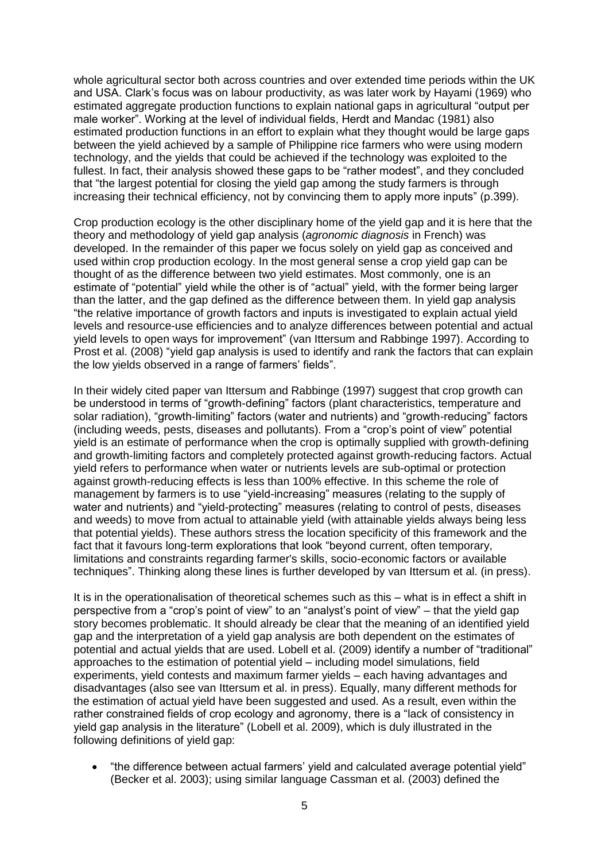whole agricultural sector both across countries and over extended time periods within the UK and USA. Clark's focus was on labour productivity, as was later work by Hayami (1969) who estimated aggregate production functions to explain national gaps in agricultural "output per male worker". Working at the level of individual fields, Herdt and Mandac (1981) also estimated production functions in an effort to explain what they thought would be large gaps between the yield achieved by a sample of Philippine rice farmers who were using modern technology, and the yields that could be achieved if the technology was exploited to the fullest. In fact, their analysis showed these gaps to be "rather modest", and they concluded that "the largest potential for closing the yield gap among the study farmers is through increasing their technical efficiency, not by convincing them to apply more inputs" (p.399).

Crop production ecology is the other disciplinary home of the yield gap and it is here that the theory and methodology of yield gap analysis (*agronomic diagnosis* in French) was developed. In the remainder of this paper we focus solely on yield gap as conceived and used within crop production ecology. In the most general sense a crop yield gap can be thought of as the difference between two yield estimates. Most commonly, one is an estimate of "potential" yield while the other is of "actual" yield, with the former being larger than the latter, and the gap defined as the difference between them. In yield gap analysis "the relative importance of growth factors and inputs is investigated to explain actual yield levels and resource-use efficiencies and to analyze differences between potential and actual yield levels to open ways for improvement" (van Ittersum and Rabbinge 1997). According to Prost et al. (2008) "yield gap analysis is used to identify and rank the factors that can explain the low yields observed in a range of farmers' fields".

In their widely cited paper van Ittersum and Rabbinge (1997) suggest that crop growth can be understood in terms of "growth-defining" factors (plant characteristics, temperature and solar radiation), "growth-limiting" factors (water and nutrients) and "growth-reducing" factors (including weeds, pests, diseases and pollutants). From a "crop's point of view" potential yield is an estimate of performance when the crop is optimally supplied with growth-defining and growth-limiting factors and completely protected against growth-reducing factors. Actual yield refers to performance when water or nutrients levels are sub-optimal or protection against growth-reducing effects is less than 100% effective. In this scheme the role of management by farmers is to use "yield-increasing" measures (relating to the supply of water and nutrients) and "yield-protecting" measures (relating to control of pests, diseases and weeds) to move from actual to attainable yield (with attainable yields always being less that potential yields). These authors stress the location specificity of this framework and the fact that it favours long-term explorations that look "beyond current, often temporary, limitations and constraints regarding farmer's skills, socio-economic factors or available techniques". Thinking along these lines is further developed by van Ittersum et al. (in press).

It is in the operationalisation of theoretical schemes such as this – what is in effect a shift in perspective from a "crop's point of view" to an "analyst's point of view" – that the yield gap story becomes problematic. It should already be clear that the meaning of an identified yield gap and the interpretation of a yield gap analysis are both dependent on the estimates of potential and actual yields that are used. Lobell et al. (2009) identify a number of "traditional" approaches to the estimation of potential yield – including model simulations, field experiments, yield contests and maximum farmer yields – each having advantages and disadvantages (also see van Ittersum et al. in press). Equally, many different methods for the estimation of actual yield have been suggested and used. As a result, even within the rather constrained fields of crop ecology and agronomy, there is a "lack of consistency in yield gap analysis in the literature" (Lobell et al. 2009), which is duly illustrated in the following definitions of yield gap:

 "the difference between actual farmers' yield and calculated average potential yield" (Becker et al. 2003); using similar language Cassman et al. (2003) defined the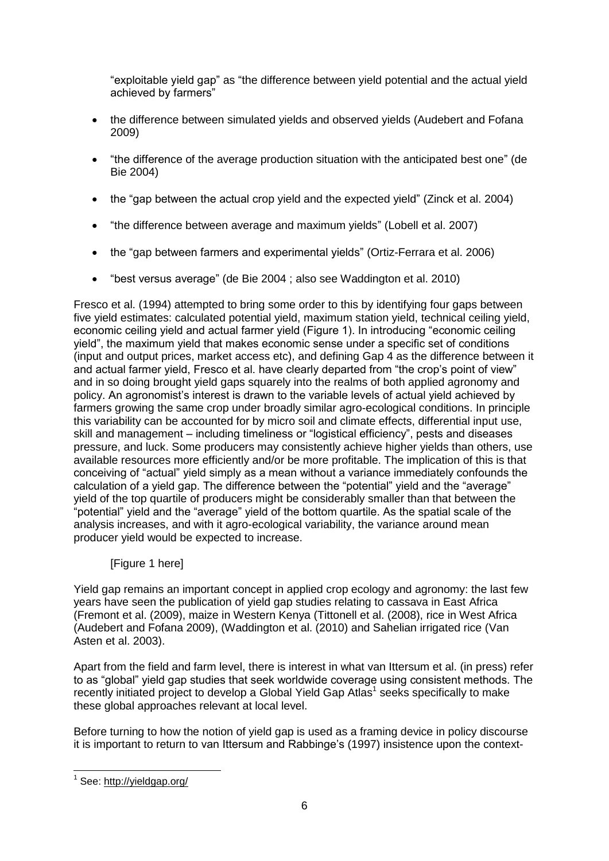"exploitable yield gap" as "the difference between yield potential and the actual yield achieved by farmers"

- the difference between simulated yields and observed yields (Audebert and Fofana 2009)
- "the difference of the average production situation with the anticipated best one" (de Bie 2004)
- the "gap between the actual crop yield and the expected yield" (Zinck et al. 2004)
- "the difference between average and maximum yields" (Lobell et al. 2007)
- the "gap between farmers and experimental yields" (Ortiz-Ferrara et al. 2006)
- "best versus average" (de Bie 2004 ; also see Waddington et al. 2010)

Fresco et al. (1994) attempted to bring some order to this by identifying four gaps between five yield estimates: calculated potential yield, maximum station yield, technical ceiling yield, economic ceiling yield and actual farmer yield (Figure 1). In introducing "economic ceiling yield", the maximum yield that makes economic sense under a specific set of conditions (input and output prices, market access etc), and defining Gap 4 as the difference between it and actual farmer yield, Fresco et al. have clearly departed from "the crop's point of view" and in so doing brought yield gaps squarely into the realms of both applied agronomy and policy. An agronomist's interest is drawn to the variable levels of actual yield achieved by farmers growing the same crop under broadly similar agro-ecological conditions. In principle this variability can be accounted for by micro soil and climate effects, differential input use, skill and management – including timeliness or "logistical efficiency", pests and diseases pressure, and luck. Some producers may consistently achieve higher yields than others, use available resources more efficiently and/or be more profitable. The implication of this is that conceiving of "actual" yield simply as a mean without a variance immediately confounds the calculation of a yield gap. The difference between the "potential" yield and the "average" yield of the top quartile of producers might be considerably smaller than that between the "potential" yield and the "average" yield of the bottom quartile. As the spatial scale of the analysis increases, and with it agro-ecological variability, the variance around mean producer yield would be expected to increase.

# [Figure 1 here]

Yield gap remains an important concept in applied crop ecology and agronomy: the last few years have seen the publication of yield gap studies relating to cassava in East Africa (Fremont et al. (2009), maize in Western Kenya (Tittonell et al. (2008), rice in West Africa (Audebert and Fofana 2009), (Waddington et al. (2010) and Sahelian irrigated rice (Van Asten et al. 2003).

Apart from the field and farm level, there is interest in what van Ittersum et al. (in press) refer to as "global" yield gap studies that seek worldwide coverage using consistent methods. The recently initiated project to develop a Global Yield Gap Atlas<sup>1</sup> seeks specifically to make these global approaches relevant at local level.

Before turning to how the notion of yield gap is used as a framing device in policy discourse it is important to return to van Ittersum and Rabbinge's (1997) insistence upon the context-

<sup>1</sup> See:<http://yieldgap.org/>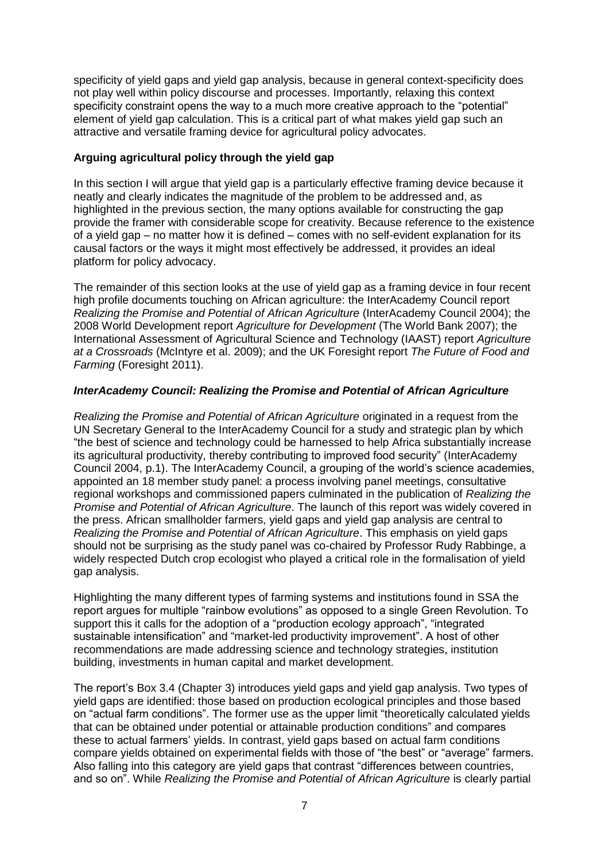specificity of yield gaps and yield gap analysis, because in general context-specificity does not play well within policy discourse and processes. Importantly, relaxing this context specificity constraint opens the way to a much more creative approach to the "potential" element of yield gap calculation. This is a critical part of what makes yield gap such an attractive and versatile framing device for agricultural policy advocates.

## **Arguing agricultural policy through the yield gap**

In this section I will argue that yield gap is a particularly effective framing device because it neatly and clearly indicates the magnitude of the problem to be addressed and, as highlighted in the previous section, the many options available for constructing the gap provide the framer with considerable scope for creativity. Because reference to the existence of a yield gap – no matter how it is defined – comes with no self-evident explanation for its causal factors or the ways it might most effectively be addressed, it provides an ideal platform for policy advocacy.

The remainder of this section looks at the use of yield gap as a framing device in four recent high profile documents touching on African agriculture: the InterAcademy Council report *Realizing the Promise and Potential of African Agriculture* (InterAcademy Council 2004); the 2008 World Development report *Agriculture for Development* (The World Bank 2007); the International Assessment of Agricultural Science and Technology (IAAST) report *Agriculture at a Crossroads* (McIntyre et al. 2009); and the UK Foresight report *The Future of Food and Farming* (Foresight 2011).

## *InterAcademy Council: Realizing the Promise and Potential of African Agriculture*

*Realizing the Promise and Potential of African Agriculture* originated in a request from the UN Secretary General to the InterAcademy Council for a study and strategic plan by which "the best of science and technology could be harnessed to help Africa substantially increase its agricultural productivity, thereby contributing to improved food security" (InterAcademy Council 2004, p.1). The InterAcademy Council, a grouping of the world's science academies, appointed an 18 member study panel: a process involving panel meetings, consultative regional workshops and commissioned papers culminated in the publication of *Realizing the Promise and Potential of African Agriculture*. The launch of this report was widely covered in the press. African smallholder farmers, yield gaps and yield gap analysis are central to *Realizing the Promise and Potential of African Agriculture*. This emphasis on yield gaps should not be surprising as the study panel was co-chaired by Professor Rudy Rabbinge, a widely respected Dutch crop ecologist who played a critical role in the formalisation of yield gap analysis.

Highlighting the many different types of farming systems and institutions found in SSA the report argues for multiple "rainbow evolutions" as opposed to a single Green Revolution. To support this it calls for the adoption of a "production ecology approach", "integrated sustainable intensification" and "market-led productivity improvement". A host of other recommendations are made addressing science and technology strategies, institution building, investments in human capital and market development.

The report's Box 3.4 (Chapter 3) introduces yield gaps and yield gap analysis. Two types of yield gaps are identified: those based on production ecological principles and those based on "actual farm conditions". The former use as the upper limit "theoretically calculated yields that can be obtained under potential or attainable production conditions" and compares these to actual farmers' yields. In contrast, yield gaps based on actual farm conditions compare yields obtained on experimental fields with those of "the best" or "average" farmers. Also falling into this category are yield gaps that contrast "differences between countries, and so on". While *Realizing the Promise and Potential of African Agriculture* is clearly partial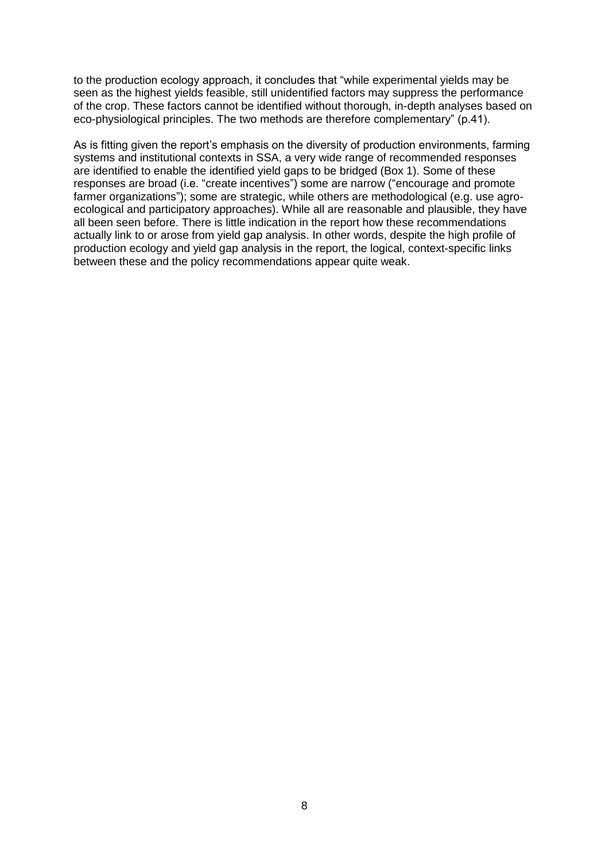to the production ecology approach, it concludes that "while experimental yields may be seen as the highest yields feasible, still unidentified factors may suppress the performance of the crop. These factors cannot be identified without thorough, in-depth analyses based on eco-physiological principles. The two methods are therefore complementary" (p.41).

As is fitting given the report's emphasis on the diversity of production environments, farming systems and institutional contexts in SSA, a very wide range of recommended responses are identified to enable the identified yield gaps to be bridged (Box 1). Some of these responses are broad (i.e. "create incentives") some are narrow ("encourage and promote farmer organizations"); some are strategic, while others are methodological (e.g. use agroecological and participatory approaches). While all are reasonable and plausible, they have all been seen before. There is little indication in the report how these recommendations actually link to or arose from yield gap analysis. In other words, despite the high profile of production ecology and yield gap analysis in the report, the logical, context-specific links between these and the policy recommendations appear quite weak.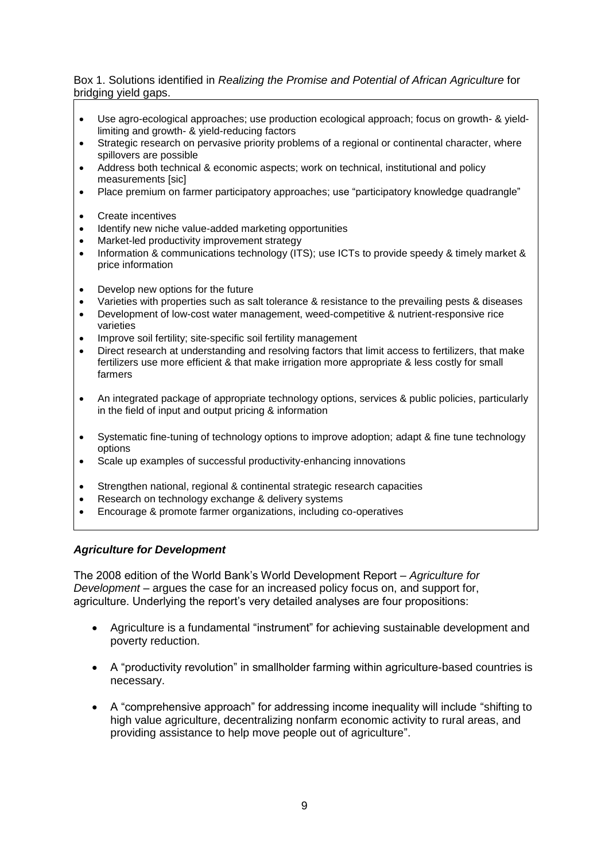#### Box 1. Solutions identified in *Realizing the Promise and Potential of African Agriculture* for bridging yield gaps.

- Use agro-ecological approaches; use production ecological approach; focus on growth- & yieldlimiting and growth- & yield-reducing factors
- Strategic research on pervasive priority problems of a regional or continental character, where spillovers are possible
- Address both technical & economic aspects; work on technical, institutional and policy measurements [sic]
- Place premium on farmer participatory approaches; use "participatory knowledge quadrangle"
- Create incentives
- Identify new niche value-added marketing opportunities
- Market-led productivity improvement strategy
- Information & communications technology (ITS); use ICTs to provide speedy & timely market & price information
- Develop new options for the future
- Varieties with properties such as salt tolerance & resistance to the prevailing pests & diseases
- Development of low-cost water management, weed-competitive & nutrient-responsive rice varieties
- Improve soil fertility; site-specific soil fertility management
- Direct research at understanding and resolving factors that limit access to fertilizers, that make fertilizers use more efficient & that make irrigation more appropriate & less costly for small farmers
- An integrated package of appropriate technology options, services & public policies, particularly in the field of input and output pricing & information
- Systematic fine-tuning of technology options to improve adoption; adapt & fine tune technology options
- Scale up examples of successful productivity-enhancing innovations
- Strengthen national, regional & continental strategic research capacities
- Research on technology exchange & delivery systems
- Encourage & promote farmer organizations, including co-operatives

#### *Agriculture for Development*

The 2008 edition of the World Bank's World Development Report – *Agriculture for Development* – argues the case for an increased policy focus on, and support for, agriculture. Underlying the report's very detailed analyses are four propositions:

- Agriculture is a fundamental "instrument" for achieving sustainable development and poverty reduction.
- A "productivity revolution" in smallholder farming within agriculture-based countries is necessary.
- A "comprehensive approach" for addressing income inequality will include "shifting to high value agriculture, decentralizing nonfarm economic activity to rural areas, and providing assistance to help move people out of agriculture".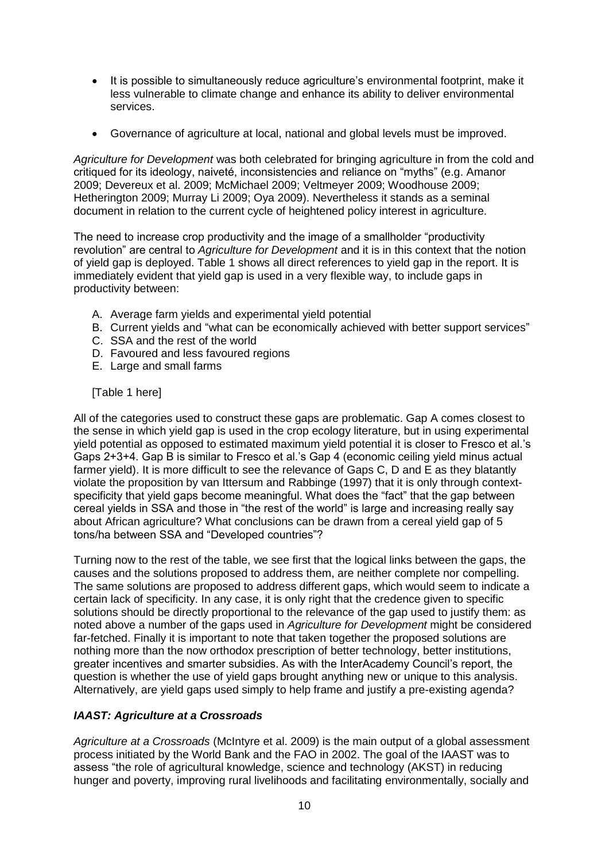- It is possible to simultaneously reduce agriculture's environmental footprint, make it less vulnerable to climate change and enhance its ability to deliver environmental services.
- Governance of agriculture at local, national and global levels must be improved.

*Agriculture for Development* was both celebrated for bringing agriculture in from the cold and critiqued for its ideology, naiveté, inconsistencies and reliance on "myths" (e.g. Amanor 2009; Devereux et al. 2009; McMichael 2009; Veltmeyer 2009; Woodhouse 2009; Hetherington 2009; Murray Li 2009; Oya 2009). Nevertheless it stands as a seminal document in relation to the current cycle of heightened policy interest in agriculture.

The need to increase crop productivity and the image of a smallholder "productivity revolution" are central to *Agriculture for Development* and it is in this context that the notion of yield gap is deployed. Table 1 shows all direct references to yield gap in the report. It is immediately evident that yield gap is used in a very flexible way, to include gaps in productivity between:

- A. Average farm yields and experimental yield potential
- B. Current yields and "what can be economically achieved with better support services"
- C. SSA and the rest of the world
- D. Favoured and less favoured regions
- E. Large and small farms

## [Table 1 here]

All of the categories used to construct these gaps are problematic. Gap A comes closest to the sense in which yield gap is used in the crop ecology literature, but in using experimental yield potential as opposed to estimated maximum yield potential it is closer to Fresco et al.'s Gaps 2+3+4. Gap B is similar to Fresco et al.'s Gap 4 (economic ceiling yield minus actual farmer yield). It is more difficult to see the relevance of Gaps C, D and E as they blatantly violate the proposition by van Ittersum and Rabbinge (1997) that it is only through contextspecificity that yield gaps become meaningful. What does the "fact" that the gap between cereal yields in SSA and those in "the rest of the world" is large and increasing really say about African agriculture? What conclusions can be drawn from a cereal yield gap of 5 tons/ha between SSA and "Developed countries"?

Turning now to the rest of the table, we see first that the logical links between the gaps, the causes and the solutions proposed to address them, are neither complete nor compelling. The same solutions are proposed to address different gaps, which would seem to indicate a certain lack of specificity. In any case, it is only right that the credence given to specific solutions should be directly proportional to the relevance of the gap used to justify them: as noted above a number of the gaps used in *Agriculture for Development* might be considered far-fetched. Finally it is important to note that taken together the proposed solutions are nothing more than the now orthodox prescription of better technology, better institutions, greater incentives and smarter subsidies. As with the InterAcademy Council's report, the question is whether the use of yield gaps brought anything new or unique to this analysis. Alternatively, are yield gaps used simply to help frame and justify a pre-existing agenda?

# *IAAST: Agriculture at a Crossroads*

*Agriculture at a Crossroads* (McIntyre et al. 2009) is the main output of a global assessment process initiated by the World Bank and the FAO in 2002. The goal of the IAAST was to assess "the role of agricultural knowledge, science and technology (AKST) in reducing hunger and poverty, improving rural livelihoods and facilitating environmentally, socially and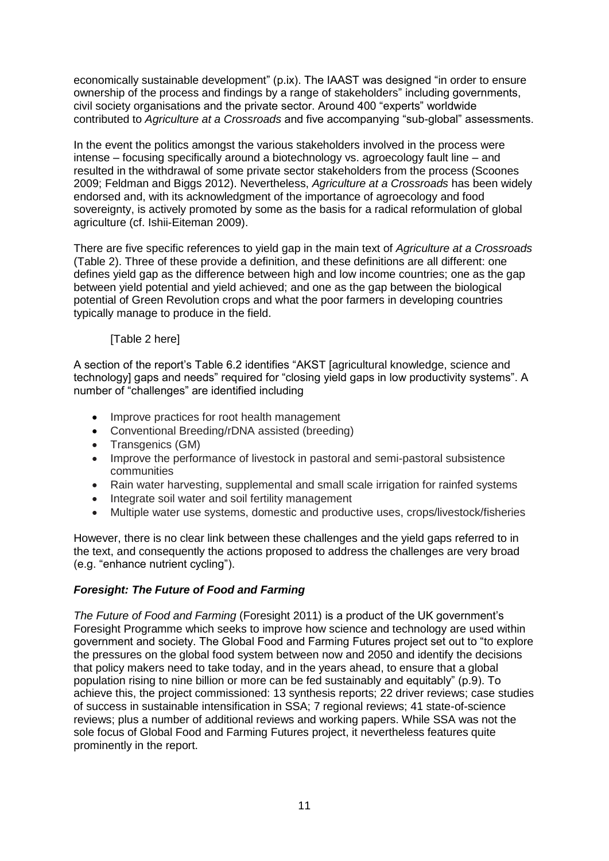economically sustainable development" (p.ix). The IAAST was designed "in order to ensure ownership of the process and findings by a range of stakeholders" including governments, civil society organisations and the private sector. Around 400 "experts" worldwide contributed to *Agriculture at a Crossroads* and five accompanying "sub-global" assessments.

In the event the politics amongst the various stakeholders involved in the process were intense – focusing specifically around a biotechnology vs. agroecology fault line – and resulted in the withdrawal of some private sector stakeholders from the process (Scoones 2009; Feldman and Biggs 2012). Nevertheless, *Agriculture at a Crossroads* has been widely endorsed and, with its acknowledgment of the importance of agroecology and food sovereignty, is actively promoted by some as the basis for a radical reformulation of global agriculture (cf. Ishii-Eiteman 2009).

There are five specific references to yield gap in the main text of *Agriculture at a Crossroads* (Table 2). Three of these provide a definition, and these definitions are all different: one defines yield gap as the difference between high and low income countries; one as the gap between yield potential and yield achieved; and one as the gap between the biological potential of Green Revolution crops and what the poor farmers in developing countries typically manage to produce in the field.

# [Table 2 here]

A section of the report's Table 6.2 identifies "AKST [agricultural knowledge, science and technology] gaps and needs" required for "closing yield gaps in low productivity systems". A number of "challenges" are identified including

- Improve practices for root health management
- Conventional Breeding/rDNA assisted (breeding)
- Transgenics (GM)
- Improve the performance of livestock in pastoral and semi-pastoral subsistence communities
- Rain water harvesting, supplemental and small scale irrigation for rainfed systems
- Integrate soil water and soil fertility management
- Multiple water use systems, domestic and productive uses, crops/livestock/fisheries

However, there is no clear link between these challenges and the yield gaps referred to in the text, and consequently the actions proposed to address the challenges are very broad (e.g. "enhance nutrient cycling").

# *Foresight: The Future of Food and Farming*

*The Future of Food and Farming* (Foresight 2011) is a product of the UK government's Foresight Programme which seeks to improve how science and technology are used within government and society. The Global Food and Farming Futures project set out to "to explore the pressures on the global food system between now and 2050 and identify the decisions that policy makers need to take today, and in the years ahead, to ensure that a global population rising to nine billion or more can be fed sustainably and equitably" (p.9). To achieve this, the project commissioned: 13 synthesis reports; 22 driver reviews; case studies of success in sustainable intensification in SSA; 7 regional reviews; 41 state-of-science reviews; plus a number of additional reviews and working papers. While SSA was not the sole focus of Global Food and Farming Futures project, it nevertheless features quite prominently in the report.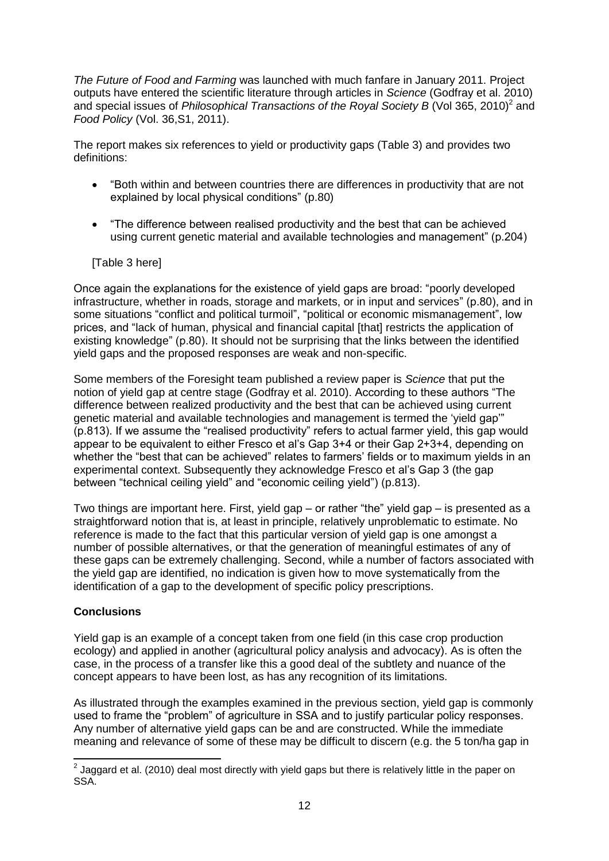*The Future of Food and Farming* was launched with much fanfare in January 2011. Project outputs have entered the scientific literature through articles in *Science* (Godfray et al. 2010) and special issues of *Philosophical Transactions of the Royal Society B* (Vol 365, 2010)<sup>2</sup> and *Food Policy* (Vol. 36,S1, 2011).

The report makes six references to yield or productivity gaps (Table 3) and provides two definitions:

- "Both within and between countries there are differences in productivity that are not explained by local physical conditions" (p.80)
- "The difference between realised productivity and the best that can be achieved using current genetic material and available technologies and management" (p.204)

#### [Table 3 here]

Once again the explanations for the existence of yield gaps are broad: "poorly developed infrastructure, whether in roads, storage and markets, or in input and services" (p.80), and in some situations "conflict and political turmoil", "political or economic mismanagement", low prices, and "lack of human, physical and financial capital [that] restricts the application of existing knowledge" (p.80). It should not be surprising that the links between the identified yield gaps and the proposed responses are weak and non-specific.

Some members of the Foresight team published a review paper is *Science* that put the notion of yield gap at centre stage (Godfray et al. 2010). According to these authors "The difference between realized productivity and the best that can be achieved using current genetic material and available technologies and management is termed the 'yield gap'" (p.813). If we assume the "realised productivity" refers to actual farmer yield, this gap would appear to be equivalent to either Fresco et al's Gap 3+4 or their Gap 2+3+4, depending on whether the "best that can be achieved" relates to farmers' fields or to maximum yields in an experimental context. Subsequently they acknowledge Fresco et al's Gap 3 (the gap between "technical ceiling yield" and "economic ceiling yield") (p.813).

Two things are important here. First, yield gap – or rather "the" yield gap – is presented as a straightforward notion that is, at least in principle, relatively unproblematic to estimate. No reference is made to the fact that this particular version of yield gap is one amongst a number of possible alternatives, or that the generation of meaningful estimates of any of these gaps can be extremely challenging. Second, while a number of factors associated with the yield gap are identified, no indication is given how to move systematically from the identification of a gap to the development of specific policy prescriptions.

#### **Conclusions**

Yield gap is an example of a concept taken from one field (in this case crop production ecology) and applied in another (agricultural policy analysis and advocacy). As is often the case, in the process of a transfer like this a good deal of the subtlety and nuance of the concept appears to have been lost, as has any recognition of its limitations.

As illustrated through the examples examined in the previous section, yield gap is commonly used to frame the "problem" of agriculture in SSA and to justify particular policy responses. Any number of alternative yield gaps can be and are constructed. While the immediate meaning and relevance of some of these may be difficult to discern (e.g. the 5 ton/ha gap in

 2 Jaggard et al. (2010) deal most directly with yield gaps but there is relatively little in the paper on SSA.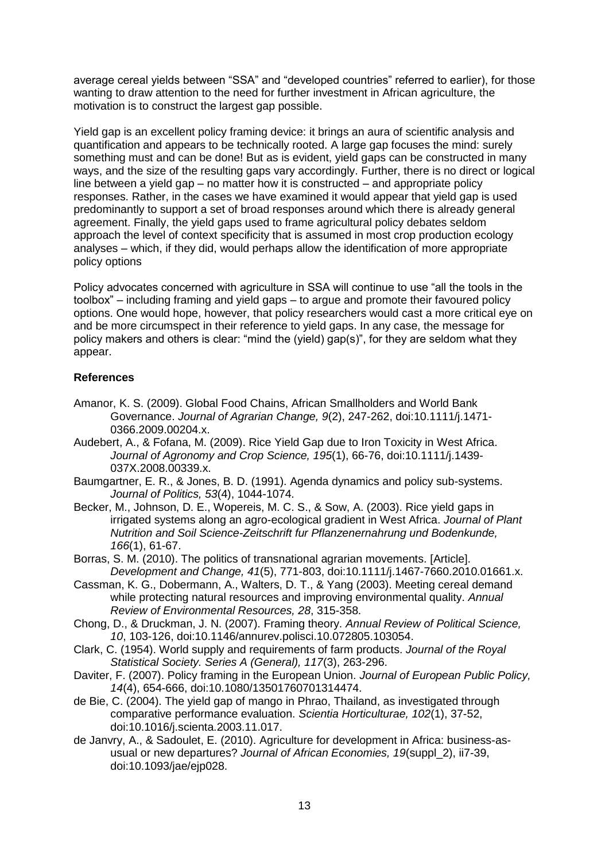average cereal yields between "SSA" and "developed countries" referred to earlier), for those wanting to draw attention to the need for further investment in African agriculture, the motivation is to construct the largest gap possible.

Yield gap is an excellent policy framing device: it brings an aura of scientific analysis and quantification and appears to be technically rooted. A large gap focuses the mind: surely something must and can be done! But as is evident, yield gaps can be constructed in many ways, and the size of the resulting gaps vary accordingly. Further, there is no direct or logical line between a yield gap – no matter how it is constructed – and appropriate policy responses. Rather, in the cases we have examined it would appear that yield gap is used predominantly to support a set of broad responses around which there is already general agreement. Finally, the yield gaps used to frame agricultural policy debates seldom approach the level of context specificity that is assumed in most crop production ecology analyses – which, if they did, would perhaps allow the identification of more appropriate policy options

Policy advocates concerned with agriculture in SSA will continue to use "all the tools in the toolbox" – including framing and yield gaps – to argue and promote their favoured policy options. One would hope, however, that policy researchers would cast a more critical eye on and be more circumspect in their reference to yield gaps. In any case, the message for policy makers and others is clear: "mind the (yield) gap(s)", for they are seldom what they appear.

## **References**

- Amanor, K. S. (2009). Global Food Chains, African Smallholders and World Bank Governance. *Journal of Agrarian Change, 9*(2), 247-262, doi:10.1111/j.1471- 0366.2009.00204.x.
- Audebert, A., & Fofana, M. (2009). Rice Yield Gap due to Iron Toxicity in West Africa. *Journal of Agronomy and Crop Science, 195*(1), 66-76, doi:10.1111/j.1439- 037X.2008.00339.x.
- Baumgartner, E. R., & Jones, B. D. (1991). Agenda dynamics and policy sub-systems. *Journal of Politics, 53*(4), 1044-1074.
- Becker, M., Johnson, D. E., Wopereis, M. C. S., & Sow, A. (2003). Rice yield gaps in irrigated systems along an agro-ecological gradient in West Africa. *Journal of Plant Nutrition and Soil Science-Zeitschrift fur Pflanzenernahrung und Bodenkunde, 166*(1), 61-67.
- Borras, S. M. (2010). The politics of transnational agrarian movements. [Article]. *Development and Change, 41*(5), 771-803, doi:10.1111/j.1467-7660.2010.01661.x.
- Cassman, K. G., Dobermann, A., Walters, D. T., & Yang (2003). Meeting cereal demand while protecting natural resources and improving environmental quality. *Annual Review of Environmental Resources, 28*, 315-358.
- Chong, D., & Druckman, J. N. (2007). Framing theory. *Annual Review of Political Science, 10*, 103-126, doi:10.1146/annurev.polisci.10.072805.103054.
- Clark, C. (1954). World supply and requirements of farm products. *Journal of the Royal Statistical Society. Series A (General), 117*(3), 263-296.
- Daviter, F. (2007). Policy framing in the European Union. *Journal of European Public Policy, 14*(4), 654-666, doi:10.1080/13501760701314474.
- de Bie, C. (2004). The yield gap of mango in Phrao, Thailand, as investigated through comparative performance evaluation. *Scientia Horticulturae, 102*(1), 37-52, doi:10.1016/j.scienta.2003.11.017.
- de Janvry, A., & Sadoulet, E. (2010). Agriculture for development in Africa: business-asusual or new departures? *Journal of African Economies, 19*(suppl\_2), ii7-39, doi:10.1093/jae/ejp028.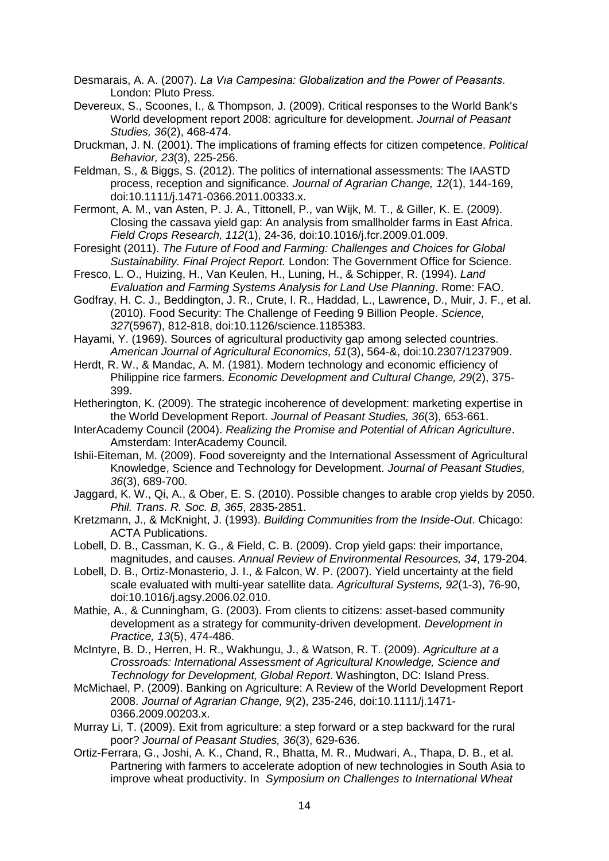Desmarais, A. A. (2007). *La Vıa Campesina: Globalization and the Power of Peasants*. London: Pluto Press.

Devereux, S., Scoones, I., & Thompson, J. (2009). Critical responses to the World Bank's World development report 2008: agriculture for development. *Journal of Peasant Studies, 36*(2), 468-474.

Druckman, J. N. (2001). The implications of framing effects for citizen competence. *Political Behavior, 23*(3), 225-256.

Feldman, S., & Biggs, S. (2012). The politics of international assessments: The IAASTD process, reception and significance. *Journal of Agrarian Change, 12*(1), 144-169, doi:10.1111/j.1471-0366.2011.00333.x.

Fermont, A. M., van Asten, P. J. A., Tittonell, P., van Wijk, M. T., & Giller, K. E. (2009). Closing the cassava yield gap: An analysis from smallholder farms in East Africa. *Field Crops Research, 112*(1), 24-36, doi:10.1016/j.fcr.2009.01.009.

Foresight (2011). *The Future of Food and Farming: Challenges and Choices for Global Sustainability. Final Project Report.* London: The Government Office for Science.

Fresco, L. O., Huizing, H., Van Keulen, H., Luning, H., & Schipper, R. (1994). *Land Evaluation and Farming Systems Analysis for Land Use Planning*. Rome: FAO.

Godfray, H. C. J., Beddington, J. R., Crute, I. R., Haddad, L., Lawrence, D., Muir, J. F., et al. (2010). Food Security: The Challenge of Feeding 9 Billion People. *Science, 327*(5967), 812-818, doi:10.1126/science.1185383.

Hayami, Y. (1969). Sources of agricultural productivity gap among selected countries. *American Journal of Agricultural Economics, 51*(3), 564-&, doi:10.2307/1237909.

Herdt, R. W., & Mandac, A. M. (1981). Modern technology and economic efficiency of Philippine rice farmers. *Economic Development and Cultural Change, 29*(2), 375- 399.

Hetherington, K. (2009). The strategic incoherence of development: marketing expertise in the World Development Report. *Journal of Peasant Studies, 36*(3), 653-661.

- InterAcademy Council (2004). *Realizing the Promise and Potential of African Agriculture*. Amsterdam: InterAcademy Council.
- Ishii-Eiteman, M. (2009). Food sovereignty and the International Assessment of Agricultural Knowledge, Science and Technology for Development. *Journal of Peasant Studies, 36*(3), 689-700.

Jaggard, K. W., Qi, A., & Ober, E. S. (2010). Possible changes to arable crop yields by 2050. *Phil. Trans. R. Soc. B, 365*, 2835-2851.

Kretzmann, J., & McKnight, J. (1993). *Building Communities from the Inside-Out*. Chicago: ACTA Publications.

Lobell, D. B., Cassman, K. G., & Field, C. B. (2009). Crop yield gaps: their importance, magnitudes, and causes. *Annual Review of Environmental Resources, 34*, 179-204.

Lobell, D. B., Ortiz-Monasterio, J. I., & Falcon, W. P. (2007). Yield uncertainty at the field scale evaluated with multi-year satellite data. *Agricultural Systems, 92*(1-3), 76-90, doi:10.1016/j.agsy.2006.02.010.

Mathie, A., & Cunningham, G. (2003). From clients to citizens: asset-based community development as a strategy for community-driven development. *Development in Practice, 13*(5), 474-486.

McIntyre, B. D., Herren, H. R., Wakhungu, J., & Watson, R. T. (2009). *Agriculture at a Crossroads: International Assessment of Agricultural Knowledge, Science and Technology for Development, Global Report*. Washington, DC: Island Press.

McMichael, P. (2009). Banking on Agriculture: A Review of the World Development Report 2008. *Journal of Agrarian Change, 9*(2), 235-246, doi:10.1111/j.1471- 0366.2009.00203.x.

Murray Li, T. (2009). Exit from agriculture: a step forward or a step backward for the rural poor? *Journal of Peasant Studies, 36*(3), 629-636.

Ortiz-Ferrara, G., Joshi, A. K., Chand, R., Bhatta, M. R., Mudwari, A., Thapa, D. B., et al. Partnering with farmers to accelerate adoption of new technologies in South Asia to improve wheat productivity. In *Symposium on Challenges to International Wheat*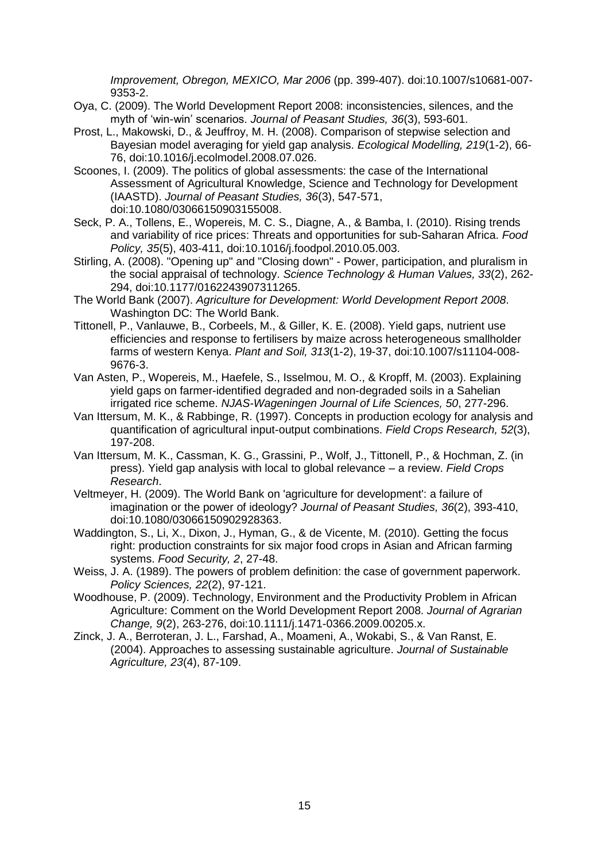*Improvement, Obregon, MEXICO, Mar 2006* (pp. 399-407). doi:10.1007/s10681-007- 9353-2.

- Oya, C. (2009). The World Development Report 2008: inconsistencies, silences, and the myth of 'win-win' scenarios. *Journal of Peasant Studies, 36*(3), 593-601.
- Prost, L., Makowski, D., & Jeuffroy, M. H. (2008). Comparison of stepwise selection and Bayesian model averaging for yield gap analysis. *Ecological Modelling, 219*(1-2), 66- 76, doi:10.1016/j.ecolmodel.2008.07.026.
- Scoones, I. (2009). The politics of global assessments: the case of the International Assessment of Agricultural Knowledge, Science and Technology for Development (IAASTD). *Journal of Peasant Studies, 36*(3), 547-571, doi:10.1080/03066150903155008.
- Seck, P. A., Tollens, E., Wopereis, M. C. S., Diagne, A., & Bamba, I. (2010). Rising trends and variability of rice prices: Threats and opportunities for sub-Saharan Africa. *Food Policy, 35*(5), 403-411, doi:10.1016/j.foodpol.2010.05.003.
- Stirling, A. (2008). "Opening up" and "Closing down" Power, participation, and pluralism in the social appraisal of technology. *Science Technology & Human Values, 33*(2), 262- 294, doi:10.1177/0162243907311265.
- The World Bank (2007). *Agriculture for Development: World Development Report 2008*. Washington DC: The World Bank.
- Tittonell, P., Vanlauwe, B., Corbeels, M., & Giller, K. E. (2008). Yield gaps, nutrient use efficiencies and response to fertilisers by maize across heterogeneous smallholder farms of western Kenya. *Plant and Soil, 313*(1-2), 19-37, doi:10.1007/s11104-008- 9676-3.
- Van Asten, P., Wopereis, M., Haefele, S., Isselmou, M. O., & Kropff, M. (2003). Explaining yield gaps on farmer-identified degraded and non-degraded soils in a Sahelian irrigated rice scheme. *NJAS-Wageningen Journal of Life Sciences, 50*, 277-296.
- Van Ittersum, M. K., & Rabbinge, R. (1997). Concepts in production ecology for analysis and quantification of agricultural input-output combinations. *Field Crops Research, 52*(3), 197-208.
- Van Ittersum, M. K., Cassman, K. G., Grassini, P., Wolf, J., Tittonell, P., & Hochman, Z. (in press). Yield gap analysis with local to global relevance – a review. *Field Crops Research*.
- Veltmeyer, H. (2009). The World Bank on 'agriculture for development': a failure of imagination or the power of ideology? *Journal of Peasant Studies, 36*(2), 393-410, doi:10.1080/03066150902928363.
- Waddington, S., Li, X., Dixon, J., Hyman, G., & de Vicente, M. (2010). Getting the focus right: production constraints for six major food crops in Asian and African farming systems. *Food Security, 2*, 27-48.
- Weiss, J. A. (1989). The powers of problem definition: the case of government paperwork. *Policy Sciences, 22*(2), 97-121.
- Woodhouse, P. (2009). Technology, Environment and the Productivity Problem in African Agriculture: Comment on the World Development Report 2008. *Journal of Agrarian Change, 9*(2), 263-276, doi:10.1111/j.1471-0366.2009.00205.x.
- Zinck, J. A., Berroteran, J. L., Farshad, A., Moameni, A., Wokabi, S., & Van Ranst, E. (2004). Approaches to assessing sustainable agriculture. *Journal of Sustainable Agriculture, 23*(4), 87-109.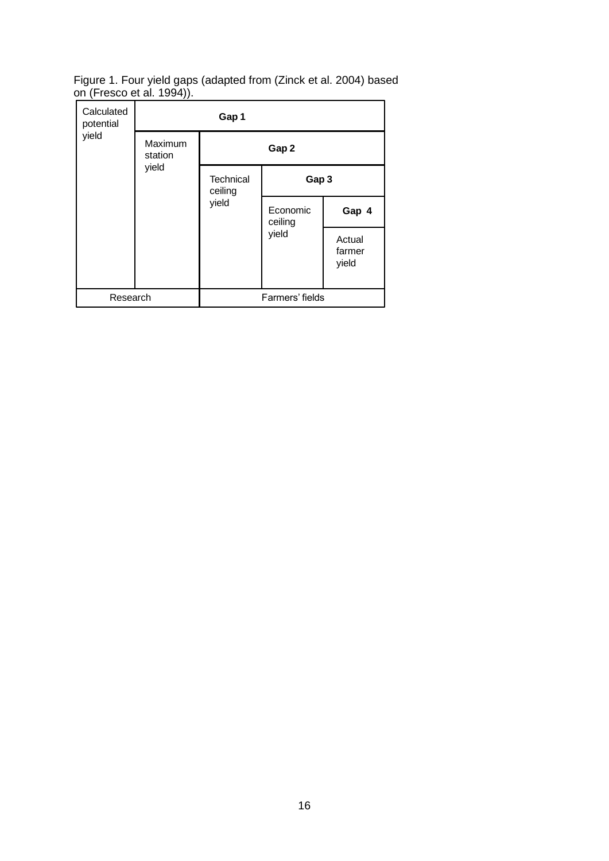Figure 1. Four yield gaps (adapted from (Zinck et al. 2004) based on (Fresco et al. 1994)). 

| Calculated<br>potential<br>yield | Gap 1                       |                               |                              |                           |  |
|----------------------------------|-----------------------------|-------------------------------|------------------------------|---------------------------|--|
|                                  | Maximum<br>station<br>yield | Gap 2                         |                              |                           |  |
|                                  |                             | Technical<br>ceiling<br>yield | Gap 3                        |                           |  |
|                                  |                             |                               | Economic<br>ceiling<br>yield | Gap 4                     |  |
|                                  |                             |                               |                              | Actual<br>farmer<br>yield |  |
| Research                         |                             | Farmers' fields               |                              |                           |  |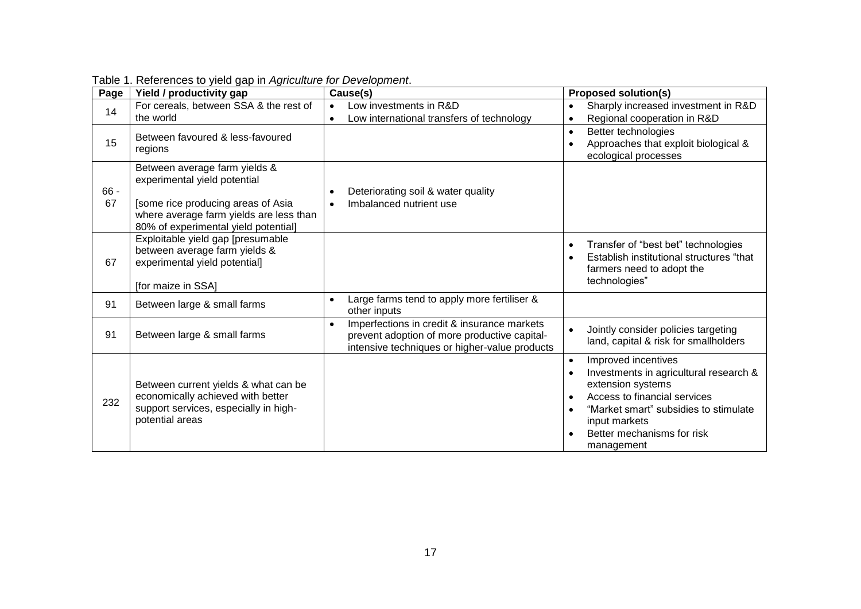| Page         | Yield / productivity gap                                                                                                                                                               | Cause(s)                                                                                                                                                  | <b>Proposed solution(s)</b>                                                                                                                                                                                                           |
|--------------|----------------------------------------------------------------------------------------------------------------------------------------------------------------------------------------|-----------------------------------------------------------------------------------------------------------------------------------------------------------|---------------------------------------------------------------------------------------------------------------------------------------------------------------------------------------------------------------------------------------|
| 14           | For cereals, between SSA & the rest of<br>the world                                                                                                                                    | Low investments in R&D<br>Low international transfers of technology<br>$\bullet$                                                                          | Sharply increased investment in R&D<br>Regional cooperation in R&D                                                                                                                                                                    |
| 15           | Between favoured & less-favoured<br>regions                                                                                                                                            |                                                                                                                                                           | Better technologies<br>$\bullet$<br>Approaches that exploit biological &<br>ecological processes                                                                                                                                      |
| $66 -$<br>67 | Between average farm yields &<br>experimental yield potential<br>[some rice producing areas of Asia<br>where average farm yields are less than<br>80% of experimental yield potential] | Deteriorating soil & water quality<br>Imbalanced nutrient use                                                                                             |                                                                                                                                                                                                                                       |
| 67           | Exploitable yield gap [presumable<br>between average farm yields &<br>experimental yield potential]<br>[for maize in SSA]                                                              |                                                                                                                                                           | Transfer of "best bet" technologies<br>$\bullet$<br>Establish institutional structures "that<br>farmers need to adopt the<br>technologies"                                                                                            |
| 91           | Between large & small farms                                                                                                                                                            | Large farms tend to apply more fertiliser &<br>$\bullet$<br>other inputs                                                                                  |                                                                                                                                                                                                                                       |
| 91           | Between large & small farms                                                                                                                                                            | Imperfections in credit & insurance markets<br>$\bullet$<br>prevent adoption of more productive capital-<br>intensive techniques or higher-value products | Jointly consider policies targeting<br>$\bullet$<br>land, capital & risk for smallholders                                                                                                                                             |
| 232          | Between current yields & what can be<br>economically achieved with better<br>support services, especially in high-<br>potential areas                                                  |                                                                                                                                                           | Improved incentives<br>$\bullet$<br>Investments in agricultural research &<br>extension systems<br>Access to financial services<br>"Market smart" subsidies to stimulate<br>input markets<br>Better mechanisms for risk<br>management |

Table 1. References to yield gap in *Agriculture for Development*.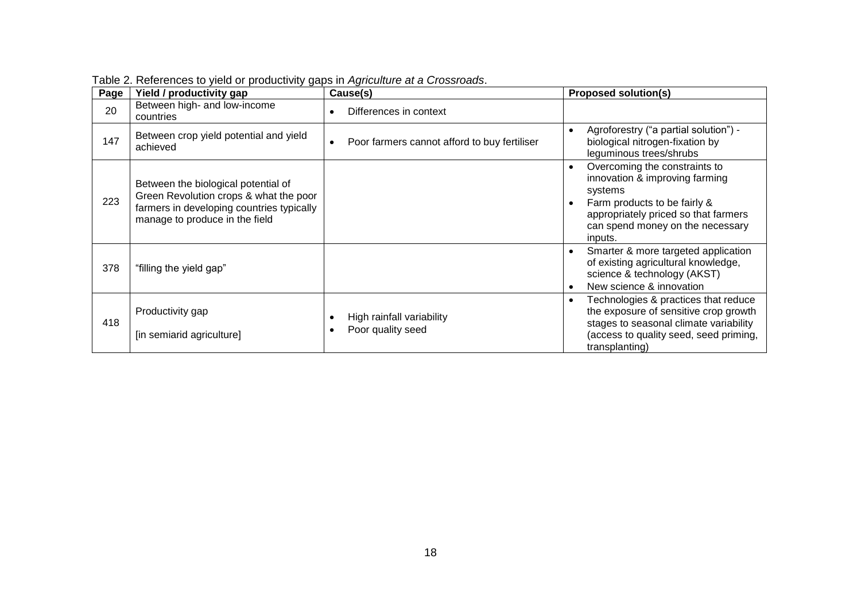| Page | Yield / productivity gap                                                                                                                                     | Cause(s)                                                  | <b>Proposed solution(s)</b>                                                                                                                                                                                    |
|------|--------------------------------------------------------------------------------------------------------------------------------------------------------------|-----------------------------------------------------------|----------------------------------------------------------------------------------------------------------------------------------------------------------------------------------------------------------------|
| 20   | Between high- and low-income<br>countries                                                                                                                    | Differences in context                                    |                                                                                                                                                                                                                |
| 147  | Between crop yield potential and yield<br>achieved                                                                                                           | Poor farmers cannot afford to buy fertiliser<br>$\bullet$ | Agroforestry ("a partial solution") -<br>$\bullet$<br>biological nitrogen-fixation by<br>leguminous trees/shrubs                                                                                               |
| 223  | Between the biological potential of<br>Green Revolution crops & what the poor<br>farmers in developing countries typically<br>manage to produce in the field |                                                           | Overcoming the constraints to<br>$\bullet$<br>innovation & improving farming<br>systems<br>Farm products to be fairly &<br>appropriately priced so that farmers<br>can spend money on the necessary<br>inputs. |
| 378  | "filling the yield gap"                                                                                                                                      |                                                           | Smarter & more targeted application<br>$\bullet$<br>of existing agricultural knowledge,<br>science & technology (AKST)<br>New science & innovation<br>$\bullet$                                                |
| 418  | Productivity gap<br>[in semiarid agriculture]                                                                                                                | High rainfall variability<br>Poor quality seed            | Technologies & practices that reduce<br>$\bullet$<br>the exposure of sensitive crop growth<br>stages to seasonal climate variability<br>(access to quality seed, seed priming,<br>transplanting)               |

Table 2. References to yield or productivity gaps in *Agriculture at a Crossroads*.